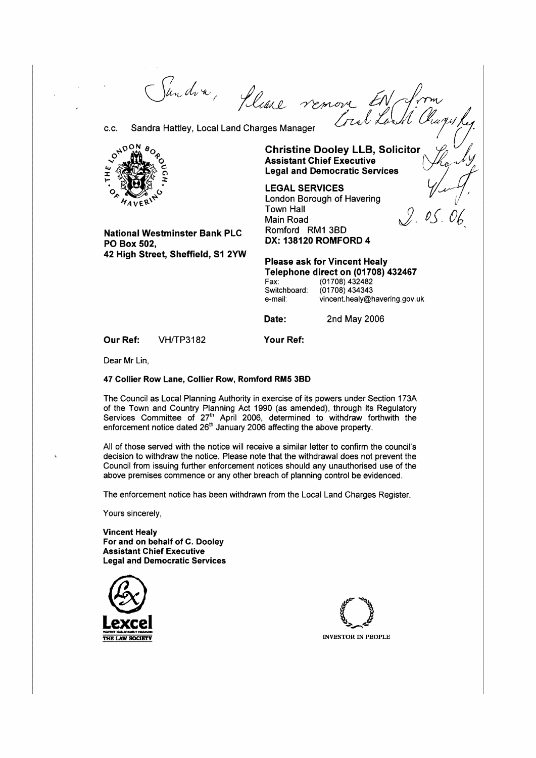*';(/!ctf/.\_\_e,* ~ £iii*rJJ,'Inv / live remove* in The Community of the Community of the Community of the Charges Manager (c.c. Sandra Hattley, Leg.



**Assistant Chief Executive** <br>Legal and Democratic Services  $\sum_{n=1}^{\infty} \frac{1}{n}$  **LEGAL SERVICES**  $\frac{1}{n}$ 

London Borough of Havering<br>Town Hall Town Hall  $\mathcal{G}$ . *0S* . *06* 

**National Westminster Bank PLC** Romford RM1 3BD **DX: 138120 ROMFORD 4 PO Box 502, 42 High Street, Sheffield, S1 2YW** 

**Please ask for Vincent Healy Telephone direct on (01708) 432467**<br>Fax: (01708) 432482

Fax: (01708) 432482 Switchboard: (01708) 434343<br>e-mail: vincent.healv@h vincent.healy@havering.gov.uk

**Date:** 2nd May 2006

**Our Ref:** VH/TP3182 **Your Ref:** 

Dear Mr Lin,

#### **47 Collier Row lane, Collier Row, Romford RM5 3BD**

The Council as Local Planning Authority in exercise of its powers under Section 173A of the Town and Country Planning Act 1990 (as amended), through its Regulatory Services Committee of  $27<sup>th</sup>$  April 2006, determined to withdraw forthwith the enforcement notice dated  $26<sup>th</sup>$  January 2006 affecting the above property.

All of those served with the notice will receive a similar letter to confirm the council's decision to withdraw the notice. Please note that the withdrawal does not prevent the Council from issuing further enforcement notices should any unauthorised use of the above premises commence or any other breach of planning control be evidenced.

The enforcement notice has been withdrawn from the Local Land Charges Register.

Yours sincerely,

**Vincent Healy For and on behalf of C. Dooley Assistant Chief Executive Legal and Democratic Services** 



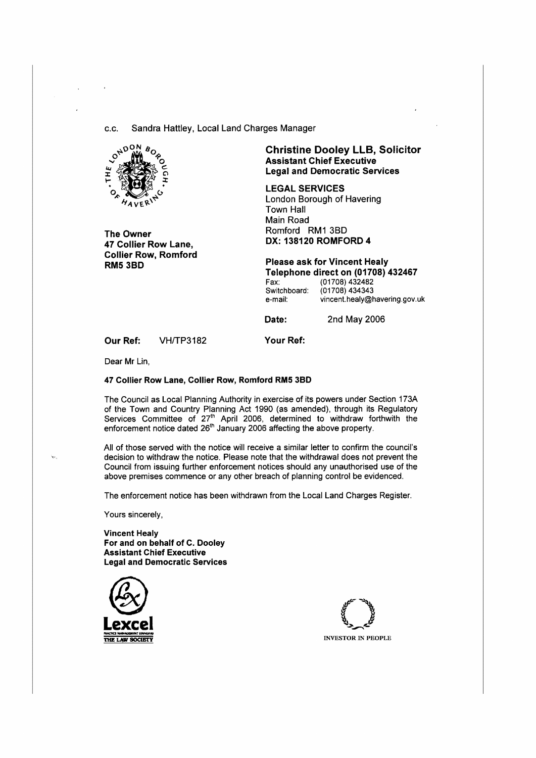c.c. Sandra Hattley, Local Land Charges Manager



**The Owner 47 Collier Row Lane, Collier Row, Romford RM53BD** 

# **Christine Dooley LLB, Solicitor Assistant Chief Executive Legal and Democratic Services**

**LEGAL SERVICES**  London Borough of Havering Town Hall Main Road Romford RM1 3B0 **DX: 138120 ROMFORD 4** 

**Please ask for Vincent Healy Telephone direct on (01708) 432467**  Fax: (01708) 432482<br>Switchboard: (01708) 434343 Switchboard: (01708) 434343<br>e-mail: vincent.healy@h vincent.healy@havering.gov.uk

**Date:** 2nd May 2006

**Our Ref:** VH/TP3182

**Your Ref:** 

Dear Mr Lin,

#### **47 Collier Row Lane, Collier Row, Romford RM5 38D**

The Council as Local Planning Authority in exercise of its powers under Section 173A of the Town and Country Planning Act 1990 (as amended), through its Regulatory Services Committee of 27 $^{\textrm{\tiny{th}}}$  April 2006, determined to withdraw forthwith the enforcement notice dated  $26<sup>m</sup>$  January 2006 affecting the above property.

All of those served with the notice will receive a similar letter to confirm the council's decision to withdraw the notice. Please note that the withdrawal does not prevent the Council from issuing further enforcement notices should any unauthorised use of the above premises commence or any other breach of planning control be evidenced.

The enforcement notice has been withdrawn from the Local Land Charges Register.

Yours sincerely,

**Vincent Healy For and on behalf of C. Dooley Assistant Chief Executive Legal and Democratic Services** 



**INVESTOR IN PEOPLE**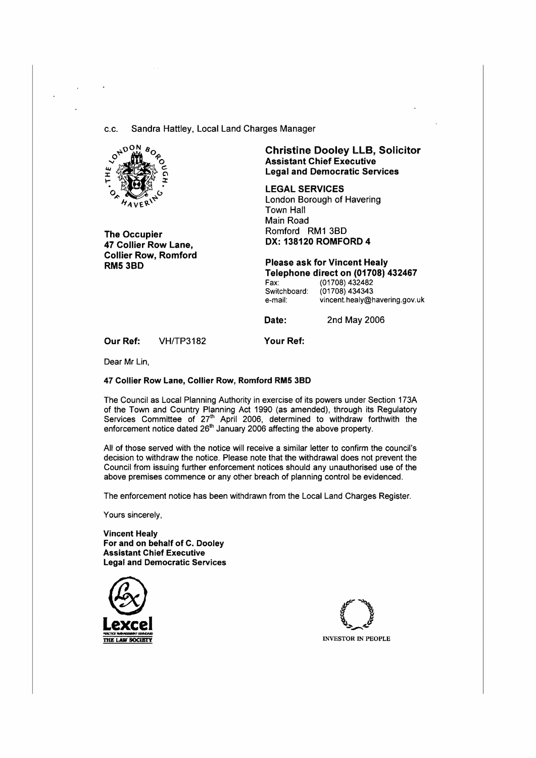c.c. Sandra Hattley, Local Land Charges Manager



**The Occupier 47 Collier Row Lane, Collier Row, Romford RM53BD** 

# **Christine Dooley LLB, Solicitor Assistant Chief Executive Legal and Democratic Services**

**LEGAL SERVICES**  London Borough of Havering Town Hall Main Road Romford **RM1** 38D **DX: 138120 ROMFORD 4** 

**Please ask for Vincent Healy Telephone direct on (01708) 432467**  Fax: (01708) 432482<br>Switchboard: (01708) 434343 Switchboard: (01708) 434343<br>e-mail: vincent.healy@h

vincent.healy@havering.gov.uk

**Date:** 2nd May 2006

**Our Ref:** VH/TP3182

**Your Ref:** 

Dear **Mr** Lin,

#### 47 Collier Row Lane, Collier Row, Romford RM5 38D

The Council as Local Planning Authority in exercise of its powers under Section 173A of the Town and Country Planning Act 1990 (as amended), through its Regulatory Services Committee of  $27<sup>m</sup>$  April 2006, determined to withdraw forthwith the enforcement notice dated 26<sup>th</sup> January 2006 affecting the above property.

All of those served with the notice will receive a similar letter to confirm the council's decision to withdraw the notice. Please note that the withdrawal does not prevent the Council from issuing further enforcement notices should any unauthorised use of the above premises commence or any other breach of planning control be evidenced.

The enforcement notice has been withdrawn from the Local Land Charges Register.

Yours sincerely,

**Vincent Healy For and on behalf of C. Dooley Assistant Chief Executive Legal and Democratic Services** 





**THE LAW SOCIETY INVESTOR IN PEOPLE**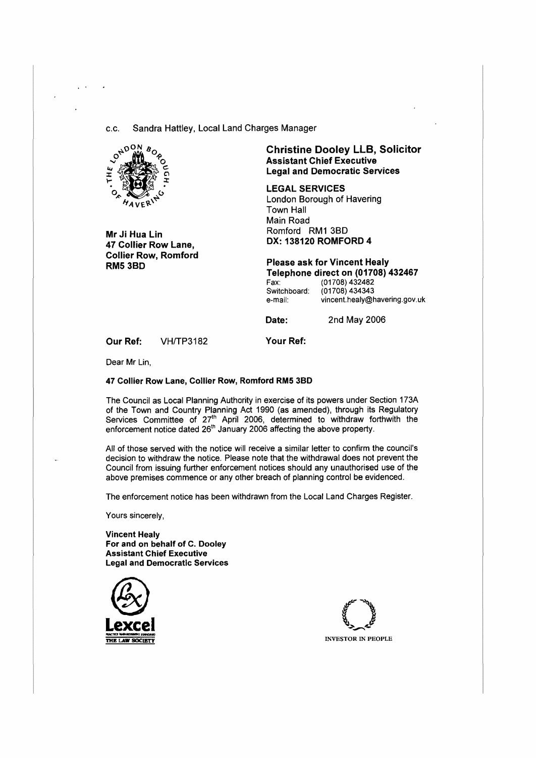c.c. Sandra Hattley, Local Land Charges Manager



Mr Ji Hua Lin 47 Collier Row Lane, Collier Row, Romford **RM53BD** 

# **Christine Dooley** LLB, **Solicitor Assistant Chief Executive Legal and Democratic Services**

**LEGAL SERVICES**  London Borough of Havering Town Hall Main Road Romford RM1 38D **DX: 138120 ROMFORD 4** 

**Please ask for Vincent Healy Telephone direct on (01708) 432467**  (01708) 432482<br>(01708) 434343 Switchboard:

| uaru. | 1011001707070                 |
|-------|-------------------------------|
|       | vincent.healy@havering.gov.uk |

**Date:** 2nd May 2006

**Our Ref:** VH/TP3182

**Your Ref:** 

e-mail:

Dear Mr Lin,

#### **47 Collier Row Lane, Collier Row, Romford RM5 38D**

The Council as Local Planning Authority in exercise of its powers under Section 173A of the Town and Country Planning Act 1990 (as amended), through its Regulatory Services Committee of 27<sup>th</sup> April 2006, determined to withdraw forthwith the enforcement notice dated 26<sup>th</sup> January 2006 affecting the above property.

All of those served with the notice will receive a similar letter to confirm the council's decision to withdraw the notice. Please note that the withdrawal does not prevent the Council from issuing further enforcement notices should any unauthorised use of the above premises commence or any other breach of planning control be evidenced.

The enforcement notice has been withdrawn from the Local Land Charges Register.

Yours sincerely,

**Vincent Healy For and on behalf of C. Dooley Assistant Chief Executive Legal and Democratic Services** 



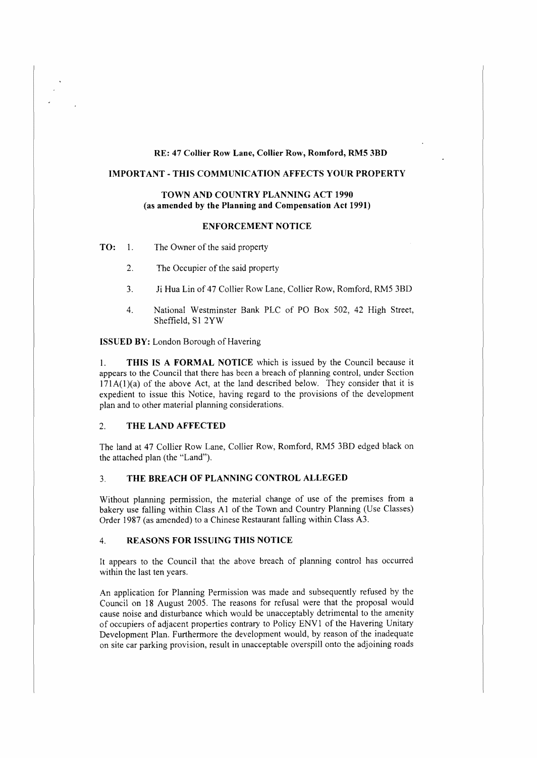### **RE: 47 Collier Row Lane, Collier Row, Romford, RM5 3BD**

# **IMPORTANT-THIS COMMUNICATION AFFECTS YOUR PROPERTY**

#### **TOWN AND COUNTRY PLANNING ACT 1990 (as amended by the Planning and Compensation Act 1991)**

## **ENFORCEMENT NOTICE**

**TO:** I. The Owner of the said property

- 2. The Occupier of the said property
- 3. Ji Hua Lin of 47 Collier Row Lane, Collier Row, Romford, RM5 3BD
- 4. National Westminster Bank PLC of PO Box 502, 42 High Street, Sheffield, SI 2YW

**ISSUED BY:** London Borough of Havering

I. **THIS IS A FORMAL NOTICE** which is issued by the Council because it appears to the Council that there has been a breach of planning control, under Section  $171A(1)(a)$  of the above Act, at the land described below. They consider that it is expedient to issue this Notice, having regard to the provisions of the development plan and to other material planning considerations.

### 2. **THE LAND AFFECTED**

The land at 47 Collier Row Lane, Collier Row, Romford, RMS 3BD edged black on the attached plan (the "Land").

### 3. **THE BREACH OF PLANNING CONTROL ALLEGED**

Without planning permission, the material change of use of the premises from a bakery use falling within Class Al of the Town and Country Planning (Use Classes) Order 1987 (as amended) to a Chinese Restaurant falling within Class A3.

### 4. **REASONS FOR ISSUING THIS NOTICE**

It appears to the Council that the above breach of planning control has occurred within the last ten years.

An application for Planning Permission was made and subsequently refused by the Council on 18 August 2005. The reasons for refusal were that the proposal would cause noise and disturbance which would be unacceptably detrimental to the amenity of occupiers of adjacent properties contrary to Policy ENVI of the Havering Unitary Development Plan. Furthermore the development would, by reason of the inadequate on site car parking provision, result in unacceptable overspill onto the adjoining roads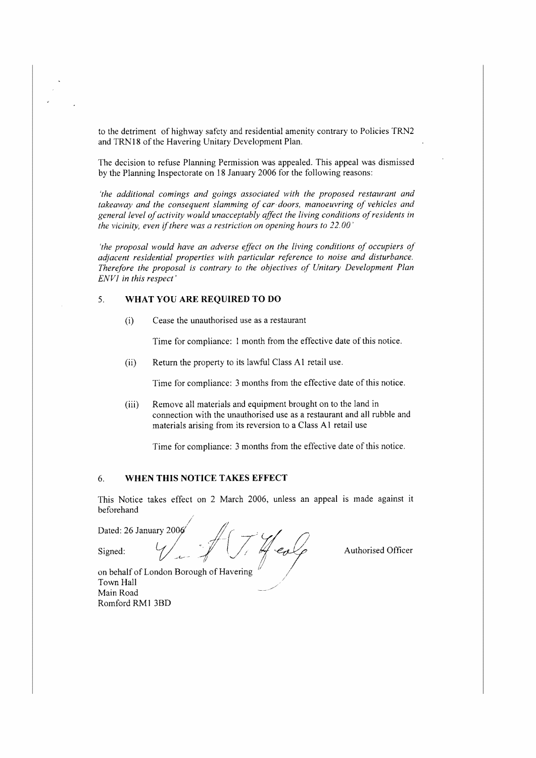to the detriment of highway safety and residential amenity contrary to Policies TRN2 and TRNl 8 of the Havering Unitary Development Plan.

The decision to refuse Planning Permission was appealed. This appeal was dismissed by the Planning Inspectorate on 18 January 2006 for the following reasons:

*'the additional comings and goings associated wirh the proposed restaurant and takeaway and the consequent slamming of car doors, manoeuvring of vehicles and*  general level of activity would unacceptably affect the living conditions of residents in *the vicinity, even if there was a restriction on opening hours to 22.00* 

*'the proposal would have an adverse effect on the living conditions of occupiers of adjacent residential properties with particular reference to noise and disturbance. Therefore the proposal is contrary to the objectives of Unitary Development Plan E.NVI in this respect'* 

# 5. **WHAT YOU ARE REQUIRED TO DO**

(i) Cease the unauthorised use as a restaurant

Time for compliance: l month from the effective date of this notice.

(ii) Return the property to its lawful Class A1 retail use.

Time for compliance: 3 months from the effective date of this notice.

(iii) Remove all materials and equipment brought on to the land in connection with the unauthorised use as a restaurant and all ruhhle and materials arising from its reversion to a Class A I retail use

Time for compliance: 3 months from the effective date of this notice.

# 6. **WHEN THIS NOTICE TAKES EFFECT**

This Notice takes effect on 2 March 2006, unless an appeal is made against it beforehand



on behalf of London Borough of Havering  $\sim$  7 own Hall Main Road Romford RM1 3BD

*Y/~~--*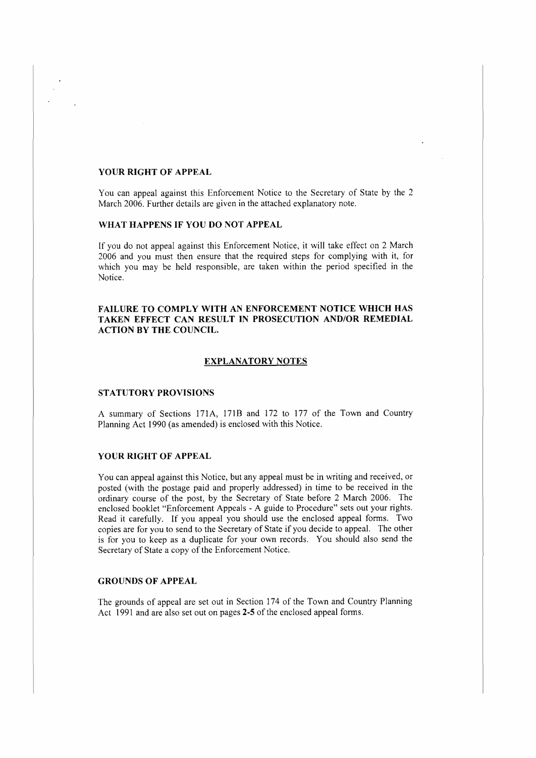#### **YOUR RIGHT OF APPEAL**

You can appeal against this Enforcement Notice to the Secretary of State by the 2 March 2006. Further details are given in the attached explanatory note.

## **WHAT HAPPENS IF YOU DO NOT APPEAL**

If you do not appeal against this Enforcement Notice, it will take effect on 2 March 2006 and you must then ensure that the required steps for complying with it, for which you may be held responsible, are taken within the period specified in the Notice.

## **FAILURE TO COMPLY WITH AN ENFORCEMENT NOTICE WHICH HAS TAKEN EFFECT CAN RESULT IN PROSECUTION AND/OR REMEDIAL ACTION BY THE COUNCIL.**

#### **EXPLANATORY NOTES**

#### **STATUTORY PROVISIONS**

A summary of Sections 171A, 171B and 172 to 177 of the Town and Country Planning Act 1990 (as amended) is enclosed with this Notice.

#### **YOUR RIGHT OF APPEAL**

You can appeal against this Notice, but any appeal must be in writing and received, or posted (with the postage paid and properly addressed) in time to be received in the ordinary course of the post, by the Secretary of State before 2 March 2006. The enclosed booklet "Enforcement Appeals - A guide *to* Procedure" sets out your rights. Read it carefully. If you appeal you should use the enclosed appeal forms. Two copies are for you to send to the Secretary of State if you decide to appeal. The other is for you to keep as a duplicate for your own records. You should also send the Secretary of State a copy of the Enforcement Notice.

#### **GROUNDS OF APPEAL**

The grounds of appeal are set out in Section 174 of the Town and Country Planning Act 1991 and are also set out on pages **2-5** of the enclosed appeal forms.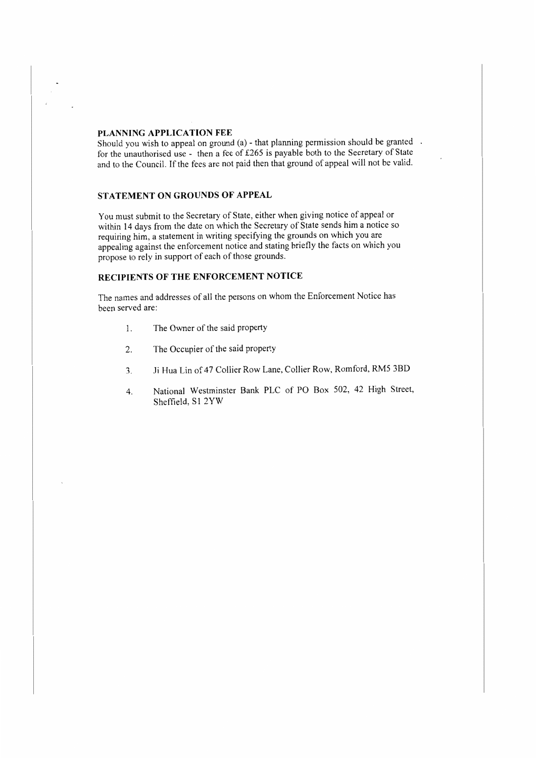# **PLANNING APPLICATION FEE**

Should you wish to appeal on ground (a) - that planning permission should be granted. for the unauthorised use - then a fee of £265 is payable both to the Secretary of State and to the Council. If the fees are not paid then that ground of appeal will not be valid.

### **STATEMENT ON GROUNDS OF APPEAL**

You must submit to the Secretary of State, either when giving notice of appeal or within 14 days from the date on which the Secretary of State sends him a notice so requiring him, a statement in writing specifying the grounds on which you are appealing against the enforcement notice and stating briefly the facts on which you propose to rely in support of each of those grounds.

# **RECIPIENTS OF THE ENFORCEMENT NOTICE**

The names and addresses of all the persons on whom the Enforcement Notice has been served are:

- l. The Owner of the said property
- 2. The Occupier of the said property
- 3. Ji Hua Lin of 47 Collier Row Lane, Collier Row, Romford, RM5 3BD
- 4. National Westminster Bank PLC of PO Box 502, 42 High Street, Sheffield, S1 2YW